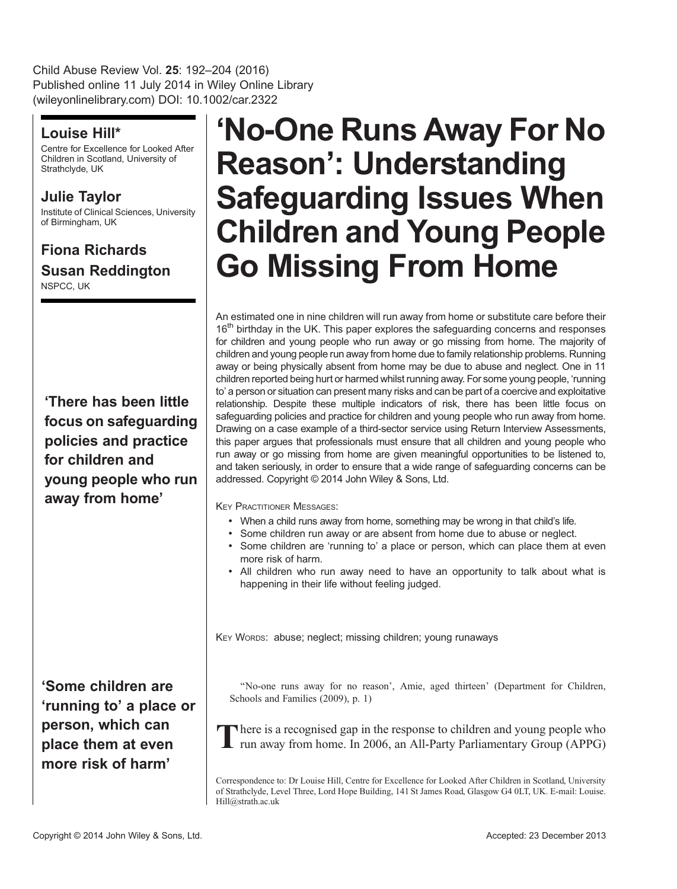Child Abuse Review Vol. 25: 192–204 (2016) Published online 11 July 2014 in Wiley Online Library (wileyonlinelibrary.com) DOI: 10.1002/car.2322

## Louise Hill\*

Centre for Excellence for Looked After Children in Scotland, University of Strathclyde, UK

## Julie Taylor

Institute of Clinical Sciences, University of Birmingham, UK

## Fiona Richards Susan Reddington NSPCC, UK

'There has been little focus on safeguarding policies and practice for children and young people who run away from home'

'Some children are 'running to' a place or person, which can place them at even more risk of harm'

# 'No-One Runs Away For No Reason': Understanding Safeguarding Issues When Children and Young People Go Missing From Home

An estimated one in nine children will run away from home or substitute care before their 16<sup>th</sup> birthday in the UK. This paper explores the safeguarding concerns and responses for children and young people who run away or go missing from home. The majority of children and young people run away from home due to family relationship problems. Running away or being physically absent from home may be due to abuse and neglect. One in 11 children reported being hurt or harmed whilst running away. For some young people, 'running to' a person or situation can present many risks and can be part of a coercive and exploitative relationship. Despite these multiple indicators of risk, there has been little focus on safeguarding policies and practice for children and young people who run away from home. Drawing on a case example of a third-sector service using Return Interview Assessments, this paper argues that professionals must ensure that all children and young people who run away or go missing from home are given meaningful opportunities to be listened to, and taken seriously, in order to ensure that a wide range of safeguarding concerns can be addressed. Copyright © 2014 John Wiley & Sons, Ltd.

KEY PRACTITIONER MESSAGES:

- When a child runs away from home, something may be wrong in that child's life.
- Some children run away or are absent from home due to abuse or neglect.
- Some children are 'running to' a place or person, which can place them at even more risk of harm.
- All children who run away need to have an opportunity to talk about what is happening in their life without feeling judged.

KEY WORDS: abuse; neglect; missing children; young runaways

''No-one runs away for no reason', Amie, aged thirteen' (Department for Children, Schools and Families (2009), p. 1)

There is a recognised gap in the response to children and young people who run away from home. In 2006, an All-Party Parliamentary Group (APPG)

Correspondence to: Dr Louise Hill, Centre for Excellence for Looked After Children in Scotland, University of Strathclyde, Level Three, Lord Hope Building, 141 St James Road, Glasgow G4 0LT, UK. E-mail: Louise. Hill@strath.ac.uk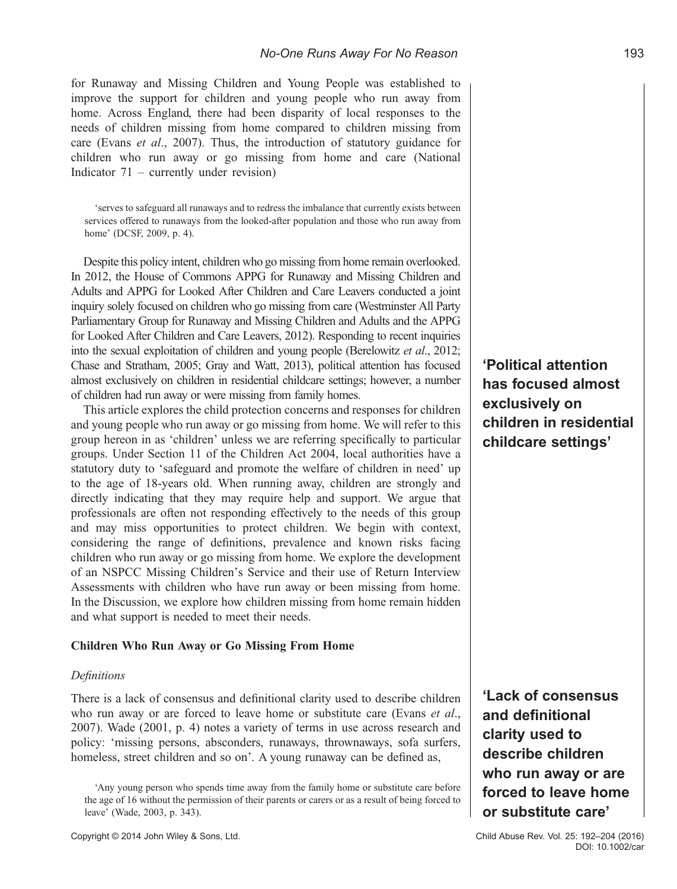for Runaway and Missing Children and Young People was established to improve the support for children and young people who run away from home. Across England, there had been disparity of local responses to the needs of children missing from home compared to children missing from care (Evans et al., 2007). Thus, the introduction of statutory guidance for children who run away or go missing from home and care (National Indicator 71 – currently under revision)

'serves to safeguard all runaways and to redress the imbalance that currently exists between services offered to runaways from the looked-after population and those who run away from home' (DCSF, 2009, p. 4).

Despite this policy intent, children who go missing from home remain overlooked. In 2012, the House of Commons APPG for Runaway and Missing Children and Adults and APPG for Looked After Children and Care Leavers conducted a joint inquiry solely focused on children who go missing from care (Westminster All Party Parliamentary Group for Runaway and Missing Children and Adults and the APPG for Looked After Children and Care Leavers, 2012). Responding to recent inquiries into the sexual exploitation of children and young people (Berelowitz et al., 2012; Chase and Stratham, 2005; Gray and Watt, 2013), political attention has focused almost exclusively on children in residential childcare settings; however, a number of children had run away or were missing from family homes.

This article explores the child protection concerns and responses for children and young people who run away or go missing from home. We will refer to this group hereon in as 'children' unless we are referring specifically to particular groups. Under Section 11 of the Children Act 2004, local authorities have a statutory duty to 'safeguard and promote the welfare of children in need' up to the age of 18-years old. When running away, children are strongly and directly indicating that they may require help and support. We argue that professionals are often not responding effectively to the needs of this group and may miss opportunities to protect children. We begin with context, considering the range of definitions, prevalence and known risks facing children who run away or go missing from home. We explore the development of an NSPCC Missing Children's Service and their use of Return Interview Assessments with children who have run away or been missing from home. In the Discussion, we explore how children missing from home remain hidden and what support is needed to meet their needs.

#### Children Who Run Away or Go Missing From Home

#### **Definitions**

There is a lack of consensus and definitional clarity used to describe children who run away or are forced to leave home or substitute care (Evans et al., 2007). Wade (2001, p. 4) notes a variety of terms in use across research and policy: 'missing persons, absconders, runaways, thrownaways, sofa surfers, homeless, street children and so on'. A young runaway can be defined as,

'Political attention has focused almost exclusively on children in residential childcare settings'

'Lack of consensus and definitional clarity used to describe children who run away or are forced to leave home or substitute care'

<sup>&#</sup>x27;Any young person who spends time away from the family home or substitute care before the age of 16 without the permission of their parents or carers or as a result of being forced to leave' (Wade, 2003, p. 343).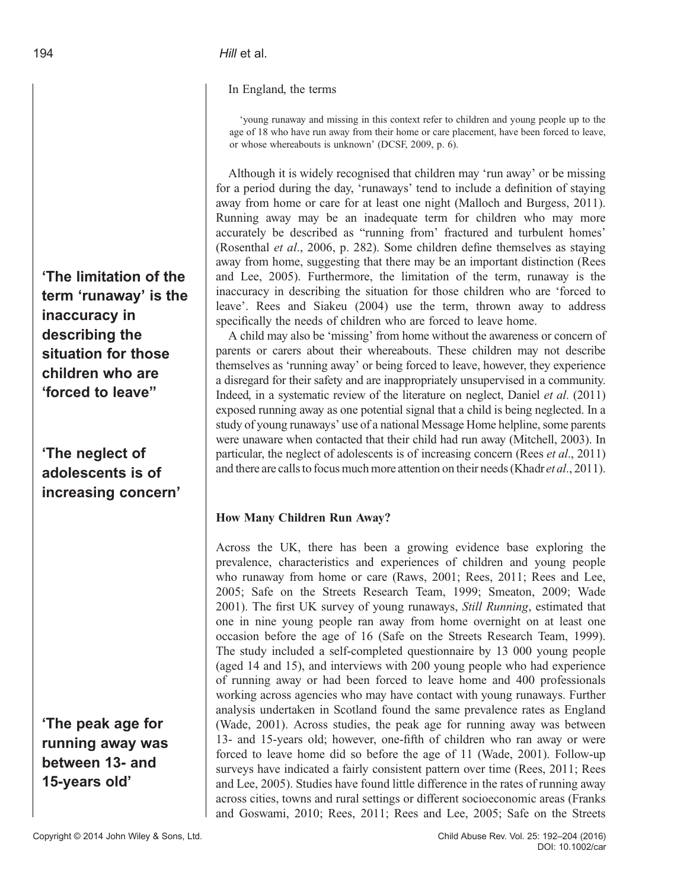## 194 **Hill** et al.

In England, the terms

'young runaway and missing in this context refer to children and young people up to the age of 18 who have run away from their home or care placement, have been forced to leave, or whose whereabouts is unknown' (DCSF, 2009, p. 6).

Although it is widely recognised that children may 'run away' or be missing for a period during the day, 'runaways' tend to include a definition of staying away from home or care for at least one night (Malloch and Burgess, 2011). Running away may be an inadequate term for children who may more accurately be described as "running from' fractured and turbulent homes' (Rosenthal et al., 2006, p. 282). Some children define themselves as staying away from home, suggesting that there may be an important distinction (Rees and Lee, 2005). Furthermore, the limitation of the term, runaway is the inaccuracy in describing the situation for those children who are 'forced to leave'. Rees and Siakeu (2004) use the term, thrown away to address specifically the needs of children who are forced to leave home.

A child may also be 'missing' from home without the awareness or concern of parents or carers about their whereabouts. These children may not describe themselves as 'running away' or being forced to leave, however, they experience a disregard for their safety and are inappropriately unsupervised in a community. Indeed, in a systematic review of the literature on neglect, Daniel et al. (2011) exposed running away as one potential signal that a child is being neglected. In a study of young runaways' use of a national Message Home helpline, some parents were unaware when contacted that their child had run away (Mitchell, 2003). In particular, the neglect of adolescents is of increasing concern (Rees *et al.*, 2011) and there are calls to focus much more attention on their needs (Khadr et al., 2011).

## How Many Children Run Away?

Across the UK, there has been a growing evidence base exploring the prevalence, characteristics and experiences of children and young people who runaway from home or care (Raws, 2001; Rees, 2011; Rees and Lee, 2005; Safe on the Streets Research Team, 1999; Smeaton, 2009; Wade 2001). The first UK survey of young runaways, Still Running, estimated that one in nine young people ran away from home overnight on at least one occasion before the age of 16 (Safe on the Streets Research Team, 1999). The study included a self-completed questionnaire by 13 000 young people (aged 14 and 15), and interviews with 200 young people who had experience of running away or had been forced to leave home and 400 professionals working across agencies who may have contact with young runaways. Further analysis undertaken in Scotland found the same prevalence rates as England (Wade, 2001). Across studies, the peak age for running away was between 13- and 15-years old; however, one-fifth of children who ran away or were forced to leave home did so before the age of 11 (Wade, 2001). Follow-up surveys have indicated a fairly consistent pattern over time (Rees, 2011; Rees and Lee, 2005). Studies have found little difference in the rates of running away across cities, towns and rural settings or different socioeconomic areas (Franks and Goswami, 2010; Rees, 2011; Rees and Lee, 2005; Safe on the Streets

'The limitation of the term 'runaway' is the inaccuracy in describing the situation for those children who are 'forced to leave"

# 'The neglect of adolescents is of increasing concern'

'The peak age for running away was between 13- and 15-years old'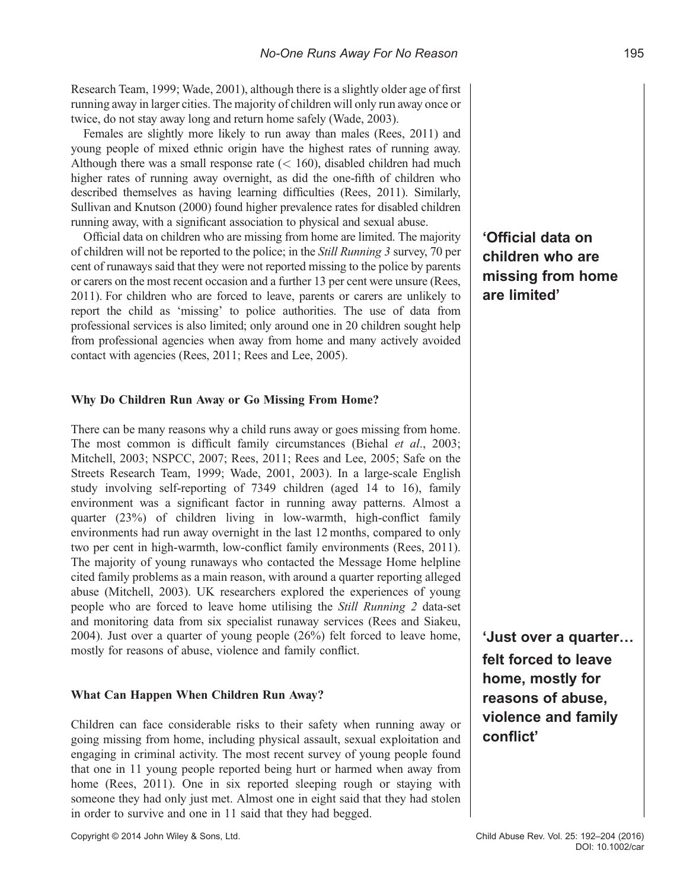Research Team, 1999; Wade, 2001), although there is a slightly older age of first running away in larger cities. The majority of children will only run away once or twice, do not stay away long and return home safely (Wade, 2003).

Females are slightly more likely to run away than males (Rees, 2011) and young people of mixed ethnic origin have the highest rates of running away. Although there was a small response rate  $(< 160$ ), disabled children had much higher rates of running away overnight, as did the one-fifth of children who described themselves as having learning difficulties (Rees, 2011). Similarly, Sullivan and Knutson (2000) found higher prevalence rates for disabled children running away, with a significant association to physical and sexual abuse.

Official data on children who are missing from home are limited. The majority of children will not be reported to the police; in the Still Running 3 survey, 70 per cent of runaways said that they were not reported missing to the police by parents or carers on the most recent occasion and a further 13 per cent were unsure (Rees, 2011). For children who are forced to leave, parents or carers are unlikely to report the child as 'missing' to police authorities. The use of data from professional services is also limited; only around one in 20 children sought help from professional agencies when away from home and many actively avoided contact with agencies (Rees, 2011; Rees and Lee, 2005).

#### Why Do Children Run Away or Go Missing From Home?

There can be many reasons why a child runs away or goes missing from home. The most common is difficult family circumstances (Biehal et al., 2003; Mitchell, 2003; NSPCC, 2007; Rees, 2011; Rees and Lee, 2005; Safe on the Streets Research Team, 1999; Wade, 2001, 2003). In a large-scale English study involving self-reporting of 7349 children (aged 14 to 16), family environment was a significant factor in running away patterns. Almost a quarter (23%) of children living in low-warmth, high-conflict family environments had run away overnight in the last 12 months, compared to only two per cent in high-warmth, low-conflict family environments (Rees, 2011). The majority of young runaways who contacted the Message Home helpline cited family problems as a main reason, with around a quarter reporting alleged abuse (Mitchell, 2003). UK researchers explored the experiences of young people who are forced to leave home utilising the Still Running 2 data-set and monitoring data from six specialist runaway services (Rees and Siakeu, 2004). Just over a quarter of young people (26%) felt forced to leave home, mostly for reasons of abuse, violence and family conflict.

#### What Can Happen When Children Run Away?

Children can face considerable risks to their safety when running away or going missing from home, including physical assault, sexual exploitation and engaging in criminal activity. The most recent survey of young people found that one in 11 young people reported being hurt or harmed when away from home (Rees, 2011). One in six reported sleeping rough or staying with someone they had only just met. Almost one in eight said that they had stolen in order to survive and one in 11 said that they had begged.

Copyright © 2014 John Wiley & Sons, Ltd. Child Abuse Rev. Vol. 25: 192–204 (2016)

'Official data on children who are missing from home are limited'

'Just over a quarter… felt forced to leave home, mostly for reasons of abuse, violence and family conflict'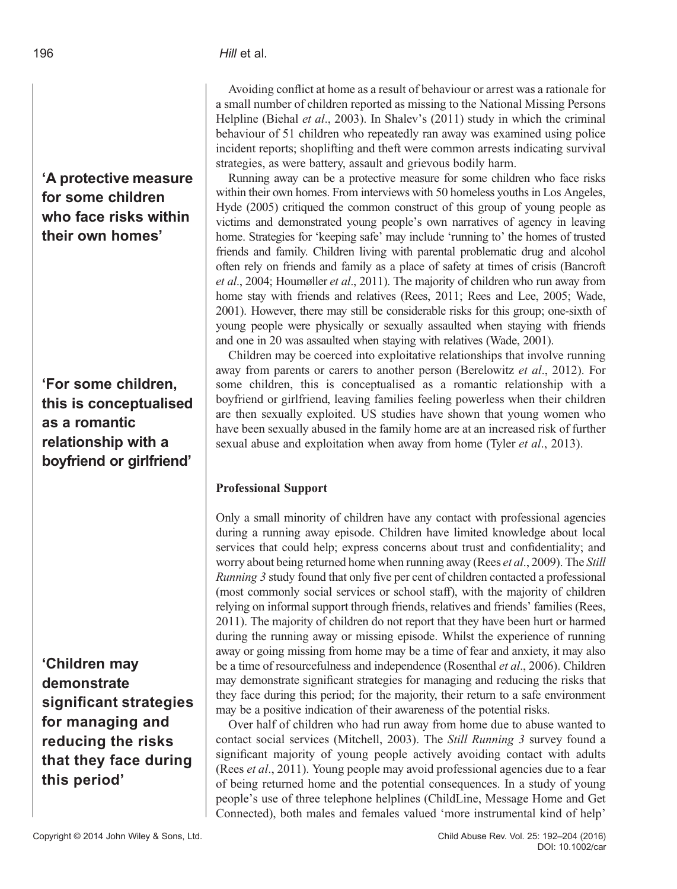# 'A protective measure for some children who face risks within their own homes'

# 'For some children, this is conceptualised as a romantic relationship with a boyfriend or girlfriend'

'Children may demonstrate significant strategies for managing and reducing the risks that they face during this period'

Avoiding conflict at home as a result of behaviour or arrest was a rationale for a small number of children reported as missing to the National Missing Persons Helpline (Biehal et al., 2003). In Shalev's (2011) study in which the criminal behaviour of 51 children who repeatedly ran away was examined using police incident reports; shoplifting and theft were common arrests indicating survival strategies, as were battery, assault and grievous bodily harm.

Running away can be a protective measure for some children who face risks within their own homes. From interviews with 50 homeless youths in Los Angeles, Hyde (2005) critiqued the common construct of this group of young people as victims and demonstrated young people's own narratives of agency in leaving home. Strategies for 'keeping safe' may include 'running to' the homes of trusted friends and family. Children living with parental problematic drug and alcohol often rely on friends and family as a place of safety at times of crisis (Bancroft et al., 2004; Houmøller et al., 2011). The majority of children who run away from home stay with friends and relatives (Rees, 2011; Rees and Lee, 2005; Wade, 2001). However, there may still be considerable risks for this group; one-sixth of young people were physically or sexually assaulted when staying with friends and one in 20 was assaulted when staying with relatives (Wade, 2001).

Children may be coerced into exploitative relationships that involve running away from parents or carers to another person (Berelowitz et al., 2012). For some children, this is conceptualised as a romantic relationship with a boyfriend or girlfriend, leaving families feeling powerless when their children are then sexually exploited. US studies have shown that young women who have been sexually abused in the family home are at an increased risk of further sexual abuse and exploitation when away from home (Tyler et al., 2013).

## Professional Support

Only a small minority of children have any contact with professional agencies during a running away episode. Children have limited knowledge about local services that could help; express concerns about trust and confidentiality; and worry about being returned home when running away (Rees *et al.*, 2009). The *Still* Running 3 study found that only five per cent of children contacted a professional (most commonly social services or school staff), with the majority of children relying on informal support through friends, relatives and friends' families (Rees, 2011). The majority of children do not report that they have been hurt or harmed during the running away or missing episode. Whilst the experience of running away or going missing from home may be a time of fear and anxiety, it may also be a time of resourcefulness and independence (Rosenthal et al., 2006). Children may demonstrate significant strategies for managing and reducing the risks that they face during this period; for the majority, their return to a safe environment may be a positive indication of their awareness of the potential risks.

Over half of children who had run away from home due to abuse wanted to contact social services (Mitchell, 2003). The Still Running 3 survey found a significant majority of young people actively avoiding contact with adults (Rees et al., 2011). Young people may avoid professional agencies due to a fear of being returned home and the potential consequences. In a study of young people's use of three telephone helplines (ChildLine, Message Home and Get Connected), both males and females valued 'more instrumental kind of help'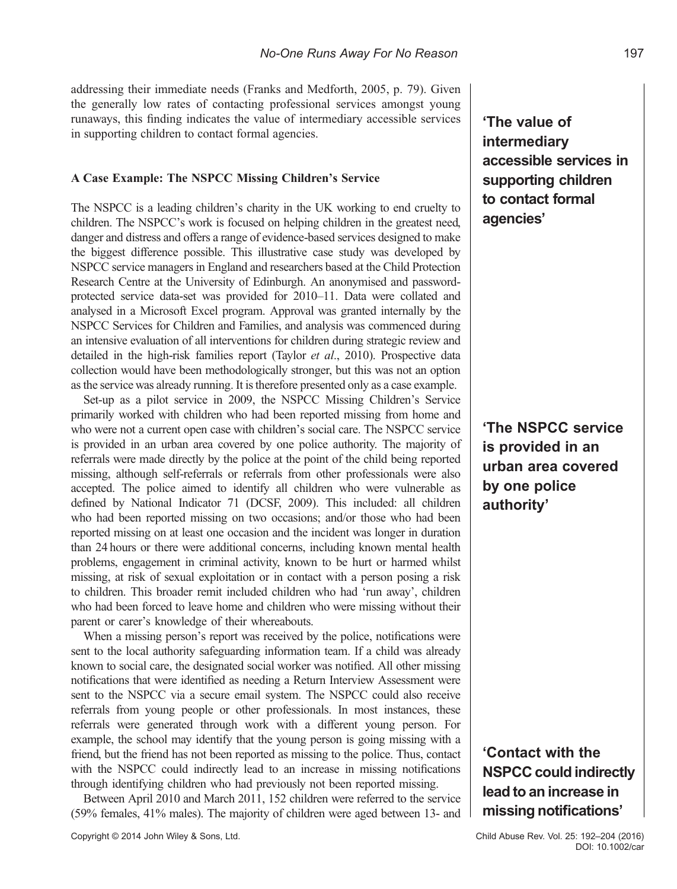addressing their immediate needs (Franks and Medforth, 2005, p. 79). Given the generally low rates of contacting professional services amongst young runaways, this finding indicates the value of intermediary accessible services in supporting children to contact formal agencies.

#### A Case Example: The NSPCC Missing Children's Service

The NSPCC is a leading children's charity in the UK working to end cruelty to children. The NSPCC's work is focused on helping children in the greatest need, danger and distress and offers a range of evidence-based services designed to make the biggest difference possible. This illustrative case study was developed by NSPCC service managers in England and researchers based at the Child Protection Research Centre at the University of Edinburgh. An anonymised and passwordprotected service data-set was provided for 2010–11. Data were collated and analysed in a Microsoft Excel program. Approval was granted internally by the NSPCC Services for Children and Families, and analysis was commenced during an intensive evaluation of all interventions for children during strategic review and detailed in the high-risk families report (Taylor et al., 2010). Prospective data collection would have been methodologically stronger, but this was not an option as the service was already running. It is therefore presented only as a case example.

Set-up as a pilot service in 2009, the NSPCC Missing Children's Service primarily worked with children who had been reported missing from home and who were not a current open case with children's social care. The NSPCC service is provided in an urban area covered by one police authority. The majority of referrals were made directly by the police at the point of the child being reported missing, although self-referrals or referrals from other professionals were also accepted. The police aimed to identify all children who were vulnerable as defined by National Indicator 71 (DCSF, 2009). This included: all children who had been reported missing on two occasions; and/or those who had been reported missing on at least one occasion and the incident was longer in duration than 24 hours or there were additional concerns, including known mental health problems, engagement in criminal activity, known to be hurt or harmed whilst missing, at risk of sexual exploitation or in contact with a person posing a risk to children. This broader remit included children who had 'run away', children who had been forced to leave home and children who were missing without their parent or carer's knowledge of their whereabouts.

When a missing person's report was received by the police, notifications were sent to the local authority safeguarding information team. If a child was already known to social care, the designated social worker was notified. All other missing notifications that were identified as needing a Return Interview Assessment were sent to the NSPCC via a secure email system. The NSPCC could also receive referrals from young people or other professionals. In most instances, these referrals were generated through work with a different young person. For example, the school may identify that the young person is going missing with a friend, but the friend has not been reported as missing to the police. Thus, contact with the NSPCC could indirectly lead to an increase in missing notifications through identifying children who had previously not been reported missing.

Between April 2010 and March 2011, 152 children were referred to the service (59% females, 41% males). The majority of children were aged between 13- and

# 'The value of intermediary accessible services in supporting children to contact formal agencies'

'The NSPCC service is provided in an urban area covered by one police authority'

'Contact with the NSPCC could indirectly lead to an increase in missing notifications'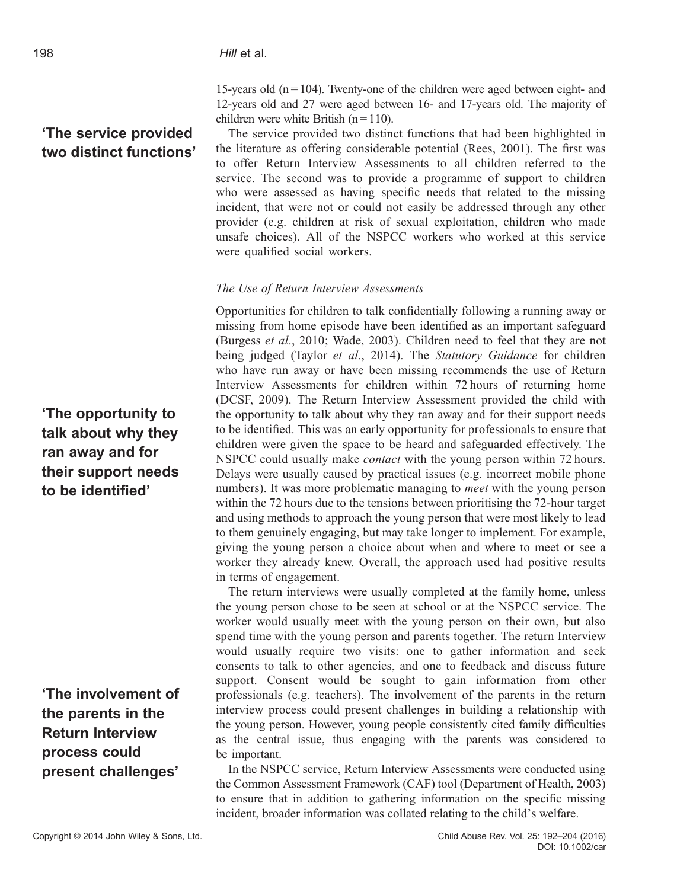# 'The service provided two distinct functions'

'The opportunity to talk about why they ran away and for their support needs to be identified'

'The involvement of the parents in the Return Interview process could present challenges'

15-years old  $(n = 104)$ . Twenty-one of the children were aged between eight- and 12-years old and 27 were aged between 16- and 17-years old. The majority of children were white British  $(n = 110)$ .

The service provided two distinct functions that had been highlighted in the literature as offering considerable potential (Rees, 2001). The first was to offer Return Interview Assessments to all children referred to the service. The second was to provide a programme of support to children who were assessed as having specific needs that related to the missing incident, that were not or could not easily be addressed through any other provider (e.g. children at risk of sexual exploitation, children who made unsafe choices). All of the NSPCC workers who worked at this service were qualified social workers.

## The Use of Return Interview Assessments

Opportunities for children to talk confidentially following a running away or missing from home episode have been identified as an important safeguard (Burgess et al., 2010; Wade, 2003). Children need to feel that they are not being judged (Taylor et al., 2014). The Statutory Guidance for children who have run away or have been missing recommends the use of Return Interview Assessments for children within 72 hours of returning home (DCSF, 2009). The Return Interview Assessment provided the child with the opportunity to talk about why they ran away and for their support needs to be identified. This was an early opportunity for professionals to ensure that children were given the space to be heard and safeguarded effectively. The NSPCC could usually make contact with the young person within 72 hours. Delays were usually caused by practical issues (e.g. incorrect mobile phone numbers). It was more problematic managing to *meet* with the young person within the 72 hours due to the tensions between prioritising the 72-hour target and using methods to approach the young person that were most likely to lead to them genuinely engaging, but may take longer to implement. For example, giving the young person a choice about when and where to meet or see a worker they already knew. Overall, the approach used had positive results in terms of engagement.

The return interviews were usually completed at the family home, unless the young person chose to be seen at school or at the NSPCC service. The worker would usually meet with the young person on their own, but also spend time with the young person and parents together. The return Interview would usually require two visits: one to gather information and seek consents to talk to other agencies, and one to feedback and discuss future support. Consent would be sought to gain information from other professionals (e.g. teachers). The involvement of the parents in the return interview process could present challenges in building a relationship with the young person. However, young people consistently cited family difficulties as the central issue, thus engaging with the parents was considered to be important.

In the NSPCC service, Return Interview Assessments were conducted using the Common Assessment Framework (CAF) tool (Department of Health, 2003) to ensure that in addition to gathering information on the specific missing incident, broader information was collated relating to the child's welfare.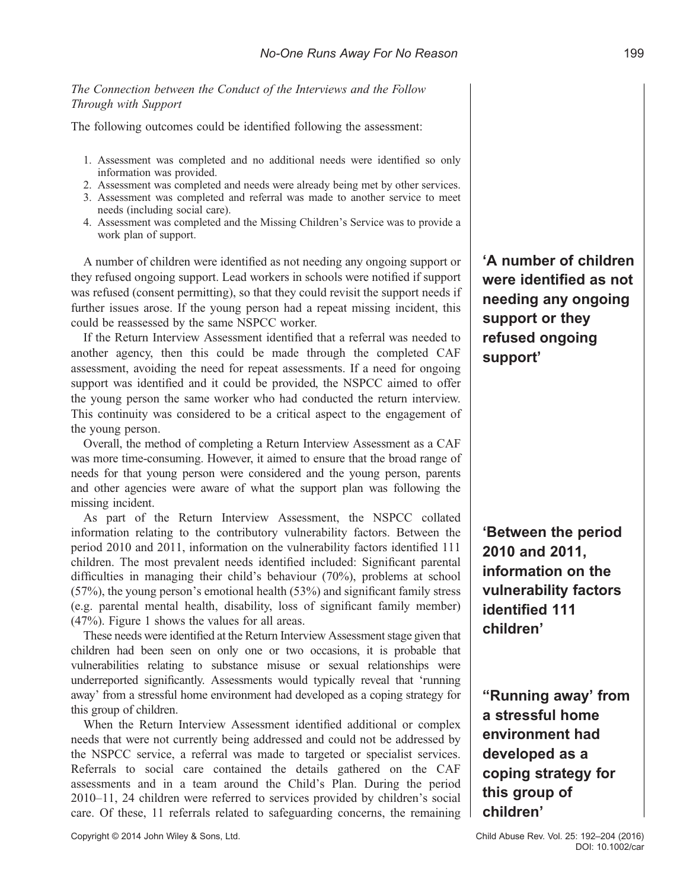#### The Connection between the Conduct of the Interviews and the Follow Through with Support

The following outcomes could be identified following the assessment:

- 1. Assessment was completed and no additional needs were identified so only information was provided.
- 2. Assessment was completed and needs were already being met by other services.
- 3. Assessment was completed and referral was made to another service to meet needs (including social care).
- 4. Assessment was completed and the Missing Children's Service was to provide a work plan of support.

A number of children were identified as not needing any ongoing support or they refused ongoing support. Lead workers in schools were notified if support was refused (consent permitting), so that they could revisit the support needs if further issues arose. If the young person had a repeat missing incident, this could be reassessed by the same NSPCC worker.

If the Return Interview Assessment identified that a referral was needed to another agency, then this could be made through the completed CAF assessment, avoiding the need for repeat assessments. If a need for ongoing support was identified and it could be provided, the NSPCC aimed to offer the young person the same worker who had conducted the return interview. This continuity was considered to be a critical aspect to the engagement of the young person.

Overall, the method of completing a Return Interview Assessment as a CAF was more time-consuming. However, it aimed to ensure that the broad range of needs for that young person were considered and the young person, parents and other agencies were aware of what the support plan was following the missing incident.

As part of the Return Interview Assessment, the NSPCC collated information relating to the contributory vulnerability factors. Between the period 2010 and 2011, information on the vulnerability factors identified 111 children. The most prevalent needs identified included: Significant parental difficulties in managing their child's behaviour (70%), problems at school (57%), the young person's emotional health (53%) and significant family stress (e.g. parental mental health, disability, loss of significant family member) (47%). Figure 1 shows the values for all areas.

These needs were identified at the Return Interview Assessment stage given that children had been seen on only one or two occasions, it is probable that vulnerabilities relating to substance misuse or sexual relationships were underreported significantly. Assessments would typically reveal that 'running away' from a stressful home environment had developed as a coping strategy for this group of children.

When the Return Interview Assessment identified additional or complex needs that were not currently being addressed and could not be addressed by the NSPCC service, a referral was made to targeted or specialist services. Referrals to social care contained the details gathered on the CAF assessments and in a team around the Child's Plan. During the period 2010–11, 24 children were referred to services provided by children's social care. Of these, 11 referrals related to safeguarding concerns, the remaining

Copyright © 2014 John Wiley & Sons, Ltd. Child Abuse Rev. Vol. 25: 192–204 (2016)

'A number of children were identified as not needing any ongoing support or they refused ongoing support'

'Between the period 2010 and 2011, information on the vulnerability factors identified 111 children'

"Running away' from a stressful home environment had developed as a coping strategy for this group of children'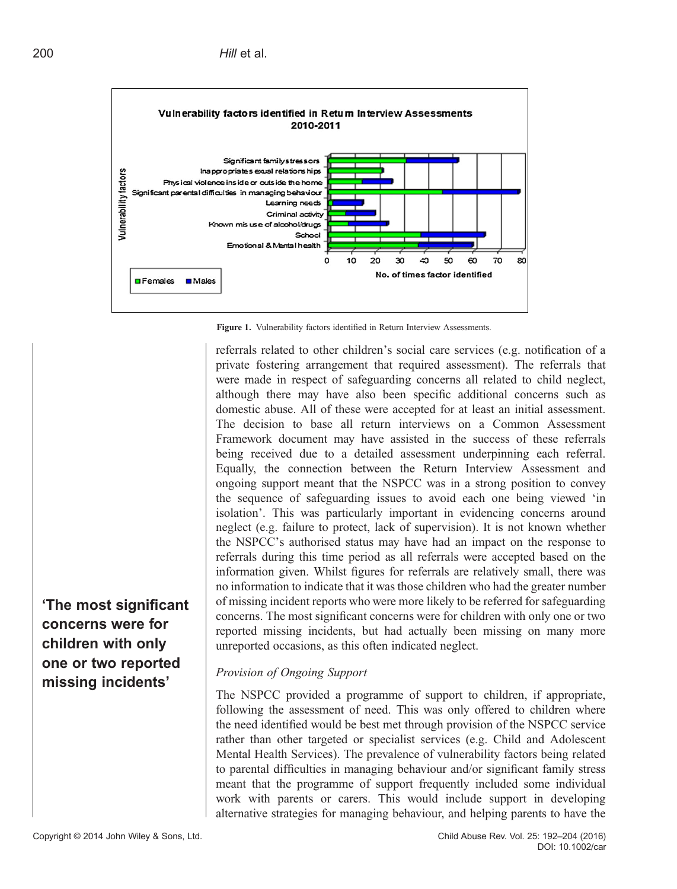

Figure 1. Vulnerability factors identified in Return Interview Assessments.

referrals related to other children's social care services (e.g. notification of a private fostering arrangement that required assessment). The referrals that were made in respect of safeguarding concerns all related to child neglect, although there may have also been specific additional concerns such as domestic abuse. All of these were accepted for at least an initial assessment. The decision to base all return interviews on a Common Assessment Framework document may have assisted in the success of these referrals being received due to a detailed assessment underpinning each referral. Equally, the connection between the Return Interview Assessment and ongoing support meant that the NSPCC was in a strong position to convey the sequence of safeguarding issues to avoid each one being viewed 'in isolation'. This was particularly important in evidencing concerns around neglect (e.g. failure to protect, lack of supervision). It is not known whether the NSPCC's authorised status may have had an impact on the response to referrals during this time period as all referrals were accepted based on the information given. Whilst figures for referrals are relatively small, there was no information to indicate that it was those children who had the greater number of missing incident reports who were more likely to be referred for safeguarding concerns. The most significant concerns were for children with only one or two reported missing incidents, but had actually been missing on many more unreported occasions, as this often indicated neglect.

## Provision of Ongoing Support

The NSPCC provided a programme of support to children, if appropriate, following the assessment of need. This was only offered to children where the need identified would be best met through provision of the NSPCC service rather than other targeted or specialist services (e.g. Child and Adolescent Mental Health Services). The prevalence of vulnerability factors being related to parental difficulties in managing behaviour and/or significant family stress meant that the programme of support frequently included some individual work with parents or carers. This would include support in developing alternative strategies for managing behaviour, and helping parents to have the

'The most significant concerns were for children with only one or two reported missing incidents'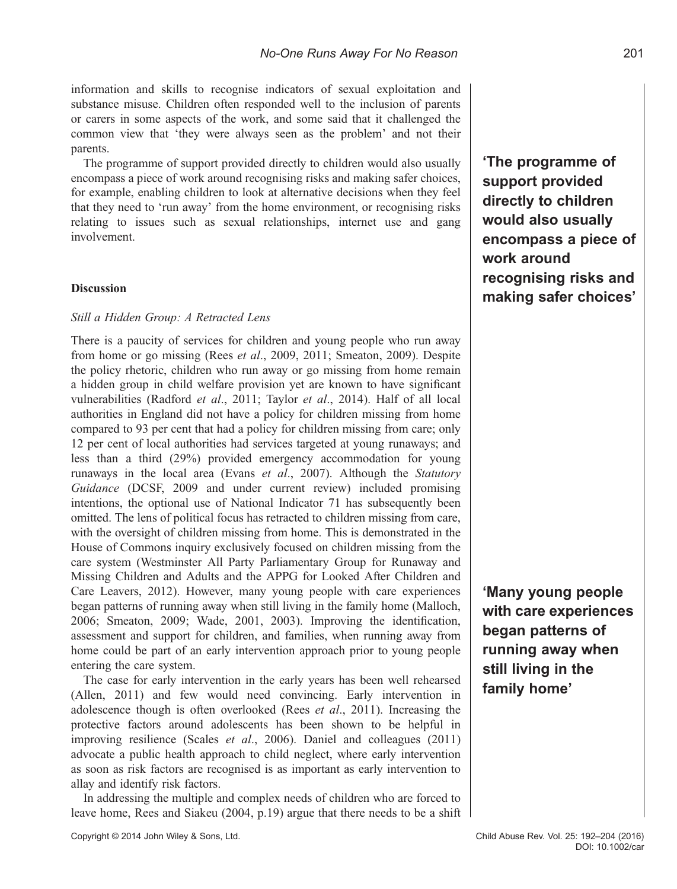information and skills to recognise indicators of sexual exploitation and substance misuse. Children often responded well to the inclusion of parents or carers in some aspects of the work, and some said that it challenged the common view that 'they were always seen as the problem' and not their parents.

The programme of support provided directly to children would also usually encompass a piece of work around recognising risks and making safer choices, for example, enabling children to look at alternative decisions when they feel that they need to 'run away' from the home environment, or recognising risks relating to issues such as sexual relationships, internet use and gang involvement.

#### **Discussion**

#### Still a Hidden Group: A Retracted Lens

There is a paucity of services for children and young people who run away from home or go missing (Rees et al., 2009, 2011; Smeaton, 2009). Despite the policy rhetoric, children who run away or go missing from home remain a hidden group in child welfare provision yet are known to have significant vulnerabilities (Radford et al., 2011; Taylor et al., 2014). Half of all local authorities in England did not have a policy for children missing from home compared to 93 per cent that had a policy for children missing from care; only 12 per cent of local authorities had services targeted at young runaways; and less than a third (29%) provided emergency accommodation for young runaways in the local area (Evans et al., 2007). Although the Statutory Guidance (DCSF, 2009 and under current review) included promising intentions, the optional use of National Indicator 71 has subsequently been omitted. The lens of political focus has retracted to children missing from care, with the oversight of children missing from home. This is demonstrated in the House of Commons inquiry exclusively focused on children missing from the care system (Westminster All Party Parliamentary Group for Runaway and Missing Children and Adults and the APPG for Looked After Children and Care Leavers, 2012). However, many young people with care experiences began patterns of running away when still living in the family home (Malloch, 2006; Smeaton, 2009; Wade, 2001, 2003). Improving the identification, assessment and support for children, and families, when running away from home could be part of an early intervention approach prior to young people entering the care system.

The case for early intervention in the early years has been well rehearsed (Allen, 2011) and few would need convincing. Early intervention in adolescence though is often overlooked (Rees et al., 2011). Increasing the protective factors around adolescents has been shown to be helpful in improving resilience (Scales et al., 2006). Daniel and colleagues (2011) advocate a public health approach to child neglect, where early intervention as soon as risk factors are recognised is as important as early intervention to allay and identify risk factors.

In addressing the multiple and complex needs of children who are forced to leave home, Rees and Siakeu (2004, p.19) argue that there needs to be a shift 'The programme of support provided directly to children would also usually encompass a piece of work around recognising risks and making safer choices'

'Many young people with care experiences began patterns of running away when still living in the family home'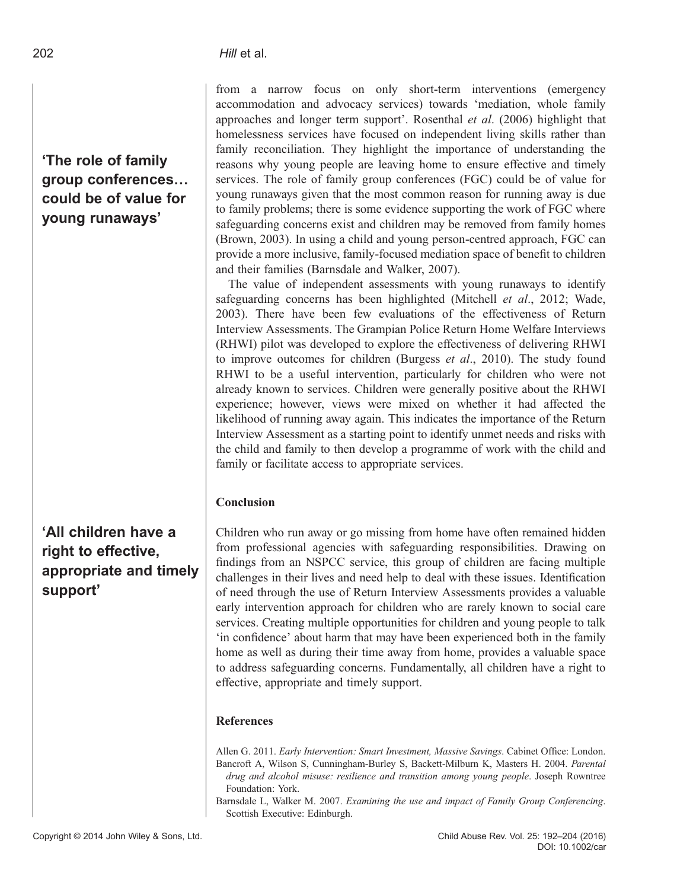'The role of family group conferences… could be of value for young runaways'

# 'All children have a right to effective, appropriate and timely support'

from a narrow focus on only short-term interventions (emergency accommodation and advocacy services) towards 'mediation, whole family approaches and longer term support'. Rosenthal et al. (2006) highlight that homelessness services have focused on independent living skills rather than family reconciliation. They highlight the importance of understanding the reasons why young people are leaving home to ensure effective and timely services. The role of family group conferences (FGC) could be of value for young runaways given that the most common reason for running away is due to family problems; there is some evidence supporting the work of FGC where safeguarding concerns exist and children may be removed from family homes (Brown, 2003). In using a child and young person-centred approach, FGC can provide a more inclusive, family-focused mediation space of benefit to children and their families (Barnsdale and Walker, 2007).

The value of independent assessments with young runaways to identify safeguarding concerns has been highlighted (Mitchell et al., 2012; Wade, 2003). There have been few evaluations of the effectiveness of Return Interview Assessments. The Grampian Police Return Home Welfare Interviews (RHWI) pilot was developed to explore the effectiveness of delivering RHWI to improve outcomes for children (Burgess et al., 2010). The study found RHWI to be a useful intervention, particularly for children who were not already known to services. Children were generally positive about the RHWI experience; however, views were mixed on whether it had affected the likelihood of running away again. This indicates the importance of the Return Interview Assessment as a starting point to identify unmet needs and risks with the child and family to then develop a programme of work with the child and family or facilitate access to appropriate services.

## Conclusion

Children who run away or go missing from home have often remained hidden from professional agencies with safeguarding responsibilities. Drawing on findings from an NSPCC service, this group of children are facing multiple challenges in their lives and need help to deal with these issues. Identification of need through the use of Return Interview Assessments provides a valuable early intervention approach for children who are rarely known to social care services. Creating multiple opportunities for children and young people to talk 'in confidence' about harm that may have been experienced both in the family home as well as during their time away from home, provides a valuable space to address safeguarding concerns. Fundamentally, all children have a right to effective, appropriate and timely support.

## References

Allen G. 2011. Early Intervention: Smart Investment, Massive Savings. Cabinet Office: London. Bancroft A, Wilson S, Cunningham-Burley S, Backett-Milburn K, Masters H. 2004. Parental drug and alcohol misuse: resilience and transition among young people. Joseph Rowntree Foundation: York.

Barnsdale L, Walker M. 2007. Examining the use and impact of Family Group Conferencing. Scottish Executive: Edinburgh.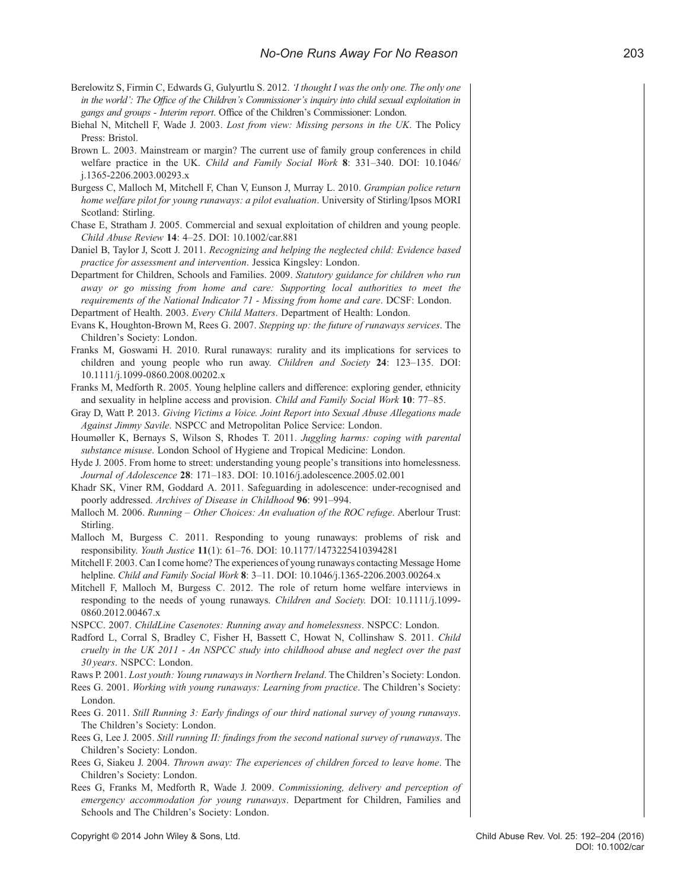- Berelowitz S, Firmin C, Edwards G, Gulyurtlu S, 2012. 'I thought I was the only one. The only one in the world': The Office of the Children's Commissioner's inquiry into child sexual exploitation in gangs and groups - Interim report. Office of the Children's Commissioner: London.
- Biehal N, Mitchell F, Wade J. 2003. Lost from view: Missing persons in the UK. The Policy Press: Bristol.
- Brown L. 2003. Mainstream or margin? The current use of family group conferences in child welfare practice in the UK. Child and Family Social Work 8: 331-340. DOI: 10.1046/ j.1365-2206.2003.00293.x
- Burgess C, Malloch M, Mitchell F, Chan V, Eunson J, Murray L. 2010. Grampian police return home welfare pilot for young runaways: a pilot evaluation. University of Stirling/Ipsos MORI Scotland: Stirling.
- Chase E, Stratham J. 2005. Commercial and sexual exploitation of children and young people. Child Abuse Review 14: 4–25. DOI: 10.1002/car.881
- Daniel B, Taylor J, Scott J. 2011. Recognizing and helping the neglected child: Evidence based practice for assessment and intervention. Jessica Kingsley: London.
- Department for Children, Schools and Families. 2009. Statutory guidance for children who run away or go missing from home and care: Supporting local authorities to meet the requirements of the National Indicator 71 - Missing from home and care. DCSF: London. Department of Health. 2003. Every Child Matters. Department of Health: London.
- Evans K, Houghton-Brown M, Rees G. 2007. Stepping up: the future of runaways services. The Children's Society: London.
- Franks M, Goswami H. 2010. Rural runaways: rurality and its implications for services to children and young people who run away. Children and Society 24: 123-135. DOI: 10.1111/j.1099-0860.2008.00202.x
- Franks M, Medforth R. 2005. Young helpline callers and difference: exploring gender, ethnicity and sexuality in helpline access and provision. Child and Family Social Work 10: 77–85.
- Gray D, Watt P. 2013. Giving Victims a Voice. Joint Report into Sexual Abuse Allegations made Against Jimmy Savile. NSPCC and Metropolitan Police Service: London.
- Houmøller K, Bernays S, Wilson S, Rhodes T. 2011. Juggling harms: coping with parental substance misuse. London School of Hygiene and Tropical Medicine: London.
- Hyde J. 2005. From home to street: understanding young people's transitions into homelessness. Journal of Adolescence 28: 171–183. DOI: 10.1016/j.adolescence.2005.02.001
- Khadr SK, Viner RM, Goddard A. 2011. Safeguarding in adolescence: under-recognised and poorly addressed. Archives of Disease in Childhood 96: 991–994.
- Malloch M. 2006. Running Other Choices: An evaluation of the ROC refuge. Aberlour Trust: Stirling.
- Malloch M, Burgess C. 2011. Responding to young runaways: problems of risk and responsibility. Youth Justice 11(1): 61–76. DOI: 10.1177/1473225410394281
- Mitchell F. 2003. Can I come home? The experiences of young runaways contacting Message Home helpline. Child and Family Social Work 8: 3–11. DOI: 10.1046/j.1365-2206.2003.00264.x
- Mitchell F, Malloch M, Burgess C. 2012. The role of return home welfare interviews in responding to the needs of young runaways. Children and Society. DOI: 10.1111/j.1099- 0860.2012.00467.x
- NSPCC. 2007. ChildLine Casenotes: Running away and homelessness. NSPCC: London.
- Radford L, Corral S, Bradley C, Fisher H, Bassett C, Howat N, Collinshaw S. 2011. Child cruelty in the UK 2011 - An NSPCC study into childhood abuse and neglect over the past 30 years. NSPCC: London.
- Raws P. 2001. Lost youth: Young runaways in Northern Ireland. The Children's Society: London.
- Rees G. 2001. Working with young runaways: Learning from practice. The Children's Society: London.
- Rees G. 2011. Still Running 3: Early findings of our third national survey of young runaways. The Children's Society: London.
- Rees G, Lee J. 2005. Still running II: findings from the second national survey of runaways. The Children's Society: London.
- Rees G, Siakeu J. 2004. Thrown away: The experiences of children forced to leave home. The Children's Society: London.
- Rees G, Franks M, Medforth R, Wade J. 2009. Commissioning, delivery and perception of emergency accommodation for young runaways. Department for Children, Families and Schools and The Children's Society: London.